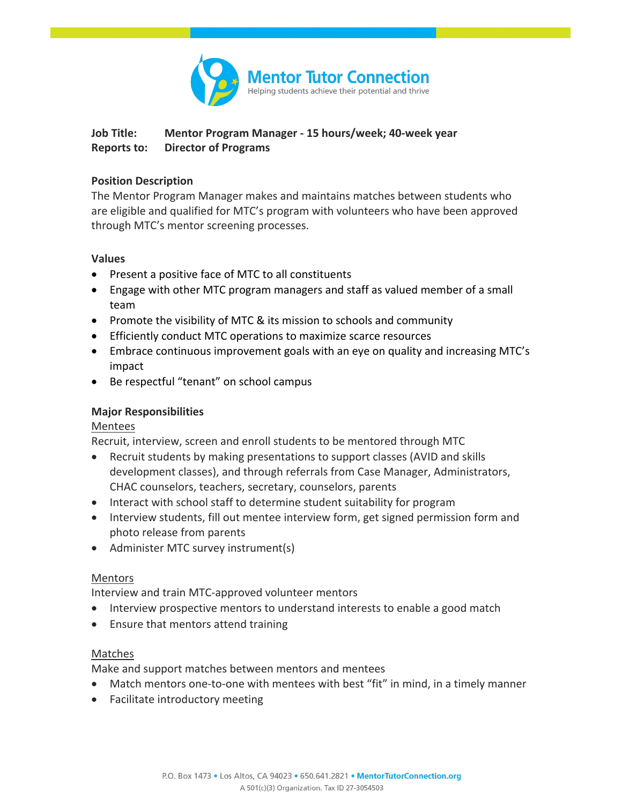

# **Job Title: Mentor Program Manager - 15 hours/week; 40-week year Reports to: Director of Programs**

### **Position Description**

The Mentor Program Manager makes and maintains matches between students who are eligible and qualified for MTC's program with volunteers who have been approved through MTC's mentor screening processes.

#### **Values**

- Present a positive face of MTC to all constituents
- Engage with other MTC program managers and staff as valued member of a small team
- Promote the visibility of MTC & its mission to schools and community
- Efficiently conduct MTC operations to maximize scarce resources
- Embrace continuous improvement goals with an eye on quality and increasing MTC's impact
- Be respectful "tenant" on school campus

## **Major Responsibilities**

## Mentees

Recruit, interview, screen and enroll students to be mentored through MTC

- Recruit students by making presentations to support classes (AVID and skills development classes), and through referrals from Case Manager, Administrators, CHAC counselors, teachers, secretary, counselors, parents
- Interact with school staff to determine student suitability for program
- Interview students, fill out mentee interview form, get signed permission form and photo release from parents
- Administer MTC survey instrument(s)

## Mentors

Interview and train MTC-approved volunteer mentors

- Interview prospective mentors to understand interests to enable a good match
- Ensure that mentors attend training

## Matches

Make and support matches between mentors and mentees

- Match mentors one-to-one with mentees with best "fit" in mind, in a timely manner
- Facilitate introductory meeting